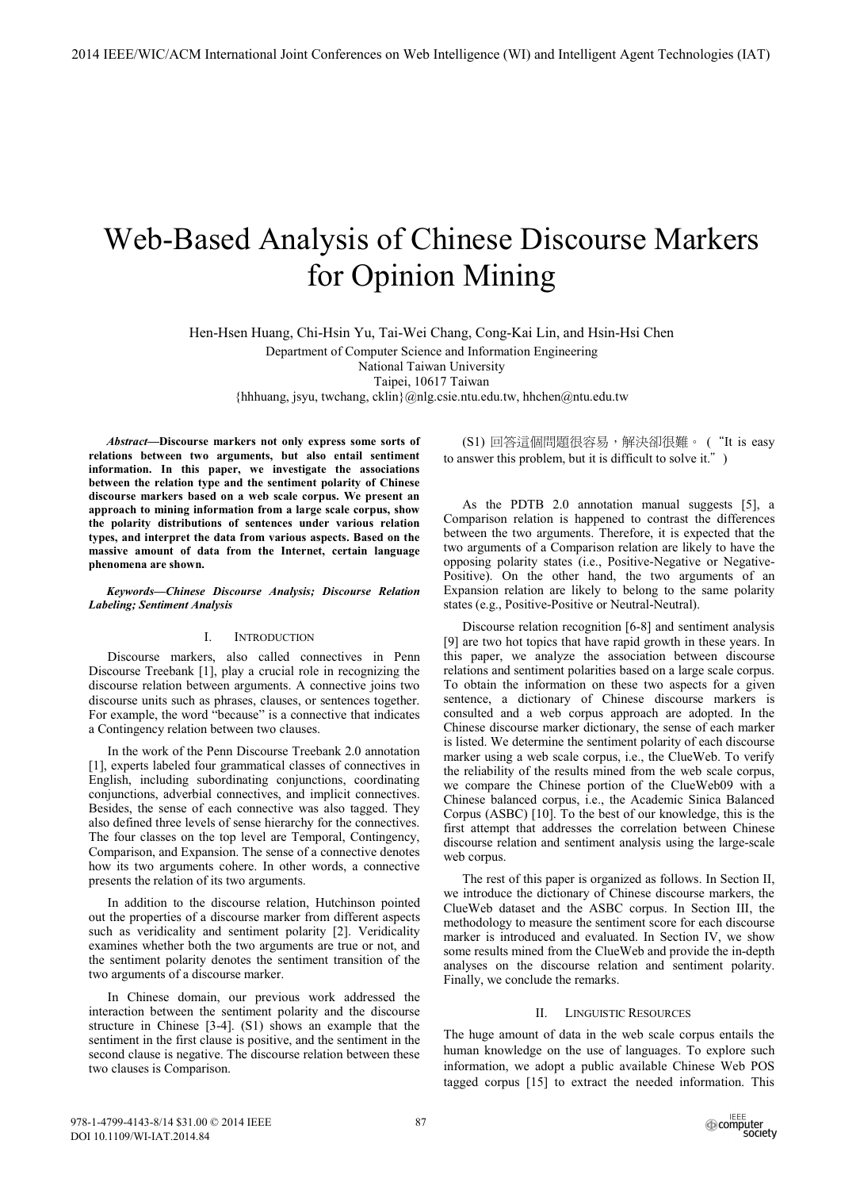# Web-Based Analysis of Chinese Discourse Markers for Opinion Mining

Hen-Hsen Huang, Chi-Hsin Yu, Tai-Wei Chang, Cong-Kai Lin, and Hsin-Hsi Chen

Department of Computer Science and Information Engineering

National Taiwan University

Taipei, 10617 Taiwan

{hhhuang, jsyu, twchang, cklin}@nlg.csie.ntu.edu.tw, hhchen@ntu.edu.tw

*Abstract***—Discourse markers not only express some sorts of relations between two arguments, but also entail sentiment information. In this paper, we investigate the associations between the relation type and the sentiment polarity of Chinese discourse markers based on a web scale corpus. We present an approach to mining information from a large scale corpus, show the polarity distributions of sentences under various relation types, and interpret the data from various aspects. Based on the massive amount of data from the Internet, certain language phenomena are shown.** 

*Keywords—Chinese Discourse Analysis; Discourse Relation Labeling; Sentiment Analysis* 

#### I. INTRODUCTION

Discourse markers, also called connectives in Penn Discourse Treebank [1], play a crucial role in recognizing the discourse relation between arguments. A connective joins two discourse units such as phrases, clauses, or sentences together. For example, the word "because" is a connective that indicates a Contingency relation between two clauses.

In the work of the Penn Discourse Treebank 2.0 annotation [1], experts labeled four grammatical classes of connectives in English, including subordinating conjunctions, coordinating conjunctions, adverbial connectives, and implicit connectives. Besides, the sense of each connective was also tagged. They also defined three levels of sense hierarchy for the connectives. The four classes on the top level are Temporal, Contingency, Comparison, and Expansion. The sense of a connective denotes how its two arguments cohere. In other words, a connective presents the relation of its two arguments.

In addition to the discourse relation, Hutchinson pointed out the properties of a discourse marker from different aspects such as veridicality and sentiment polarity [2]. Veridicality examines whether both the two arguments are true or not, and the sentiment polarity denotes the sentiment transition of the two arguments of a discourse marker.

In Chinese domain, our previous work addressed the interaction between the sentiment polarity and the discourse structure in Chinese [3-4]. (S1) shows an example that the sentiment in the first clause is positive, and the sentiment in the second clause is negative. The discourse relation between these two clauses is Comparison.

(S1) 回答這個問題很容易,解決卻很難。("It is easy to answer this problem, but it is difficult to solve it."  $\,$  )

As the PDTB 2.0 annotation manual suggests [5], a Comparison relation is happened to contrast the differences between the two arguments. Therefore, it is expected that the two arguments of a Comparison relation are likely to have the opposing polarity states (i.e., Positive-Negative or Negative-Positive). On the other hand, the two arguments of an Expansion relation are likely to belong to the same polarity states (e.g., Positive-Positive or Neutral-Neutral).

Discourse relation recognition [6-8] and sentiment analysis [9] are two hot topics that have rapid growth in these years. In this paper, we analyze the association between discourse relations and sentiment polarities based on a large scale corpus. To obtain the information on these two aspects for a given sentence, a dictionary of Chinese discourse markers is consulted and a web corpus approach are adopted. In the Chinese discourse marker dictionary, the sense of each marker is listed. We determine the sentiment polarity of each discourse marker using a web scale corpus, i.e., the ClueWeb. To verify the reliability of the results mined from the web scale corpus, we compare the Chinese portion of the ClueWeb09 with a Chinese balanced corpus, i.e., the Academic Sinica Balanced Corpus (ASBC) [10]. To the best of our knowledge, this is the first attempt that addresses the correlation between Chinese discourse relation and sentiment analysis using the large-scale web corpus.

The rest of this paper is organized as follows. In Section II, we introduce the dictionary of Chinese discourse markers, the ClueWeb dataset and the ASBC corpus. In Section III, the methodology to measure the sentiment score for each discourse marker is introduced and evaluated. In Section IV, we show some results mined from the ClueWeb and provide the in-depth analyses on the discourse relation and sentiment polarity. Finally, we conclude the remarks.

## II. LINGUISTIC RESOURCES

The huge amount of data in the web scale corpus entails the human knowledge on the use of languages. To explore such information, we adopt a public available Chinese Web POS tagged corpus [15] to extract the needed information. This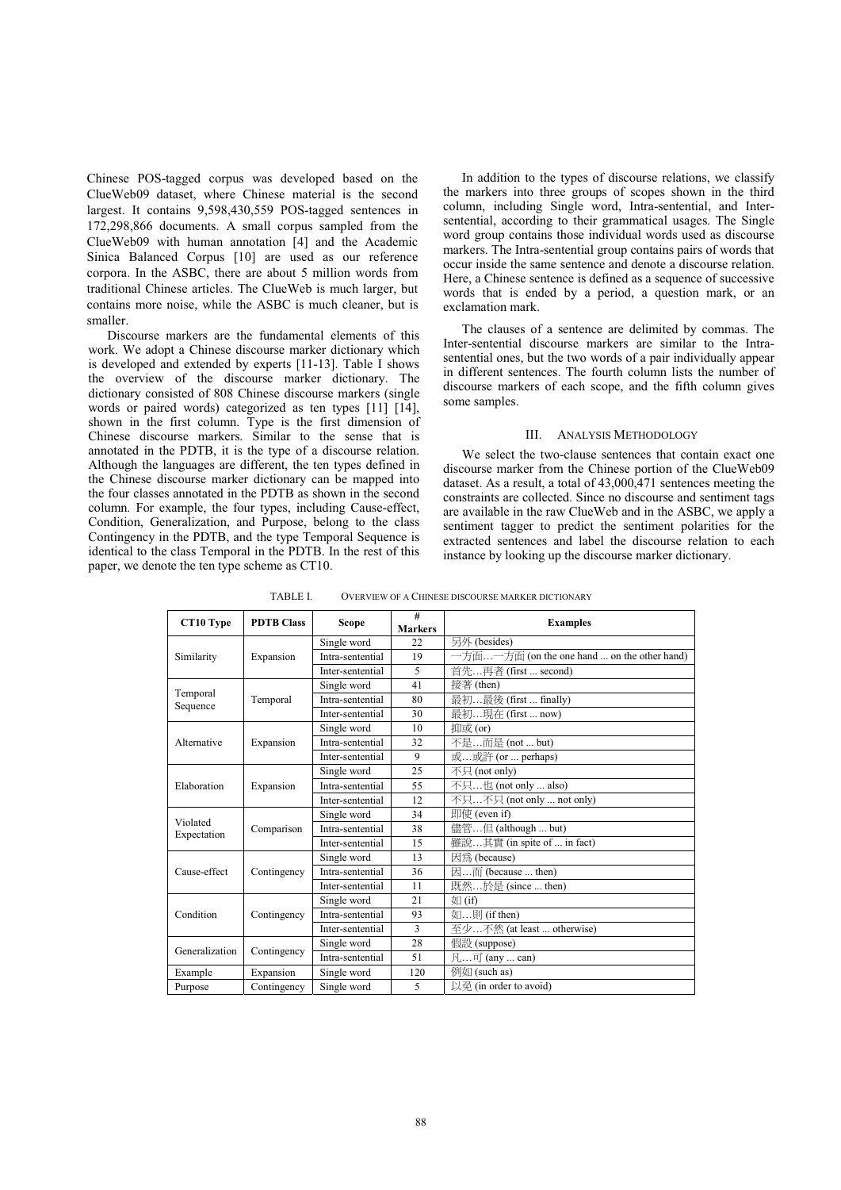Chinese POS-tagged corpus was developed based on the ClueWeb09 dataset, where Chinese material is the second largest. It contains 9,598,430,559 POS-tagged sentences in 172,298,866 documents. A small corpus sampled from the ClueWeb09 with human annotation [4] and the Academic Sinica Balanced Corpus [10] are used as our reference corpora. In the ASBC, there are about 5 million words from traditional Chinese articles. The ClueWeb is much larger, but contains more noise, while the ASBC is much cleaner, but is smaller.

Discourse markers are the fundamental elements of this work. We adopt a Chinese discourse marker dictionary which is developed and extended by experts [11-13]. Table I shows the overview of the discourse marker dictionary. The dictionary consisted of 808 Chinese discourse markers (single words or paired words) categorized as ten types [11] [14], shown in the first column. Type is the first dimension of Chinese discourse markers. Similar to the sense that is annotated in the PDTB, it is the type of a discourse relation. Although the languages are different, the ten types defined in the Chinese discourse marker dictionary can be mapped into the four classes annotated in the PDTB as shown in the second column. For example, the four types, including Cause-effect, Condition, Generalization, and Purpose, belong to the class Contingency in the PDTB, and the type Temporal Sequence is identical to the class Temporal in the PDTB. In the rest of this paper, we denote the ten type scheme as CT10.

In addition to the types of discourse relations, we classify the markers into three groups of scopes shown in the third column, including Single word, Intra-sentential, and Intersentential, according to their grammatical usages. The Single word group contains those individual words used as discourse markers. The Intra-sentential group contains pairs of words that occur inside the same sentence and denote a discourse relation. Here, a Chinese sentence is defined as a sequence of successive words that is ended by a period, a question mark, or an exclamation mark.

The clauses of a sentence are delimited by commas. The Inter-sentential discourse markers are similar to the Intrasentential ones, but the two words of a pair individually appear in different sentences. The fourth column lists the number of discourse markers of each scope, and the fifth column gives some samples.

## III. ANALYSIS METHODOLOGY

We select the two-clause sentences that contain exact one discourse marker from the Chinese portion of the ClueWeb09 dataset. As a result, a total of 43,000,471 sentences meeting the constraints are collected. Since no discourse and sentiment tags are available in the raw ClueWeb and in the ASBC, we apply a sentiment tagger to predict the sentiment polarities for the extracted sentences and label the discourse relation to each instance by looking up the discourse marker dictionary.

| CT10 Type            | <b>PDTB Class</b> | <b>Scope</b>     | #<br><b>Markers</b> | <b>Examples</b>                             |
|----------------------|-------------------|------------------|---------------------|---------------------------------------------|
|                      |                   | Single word      | 22                  | 另外 (besides)                                |
| Similarity           | Expansion         | Intra-sentential | 19                  | 一方面一方面 (on the one hand  on the other hand) |
|                      |                   | Inter-sentential | 5                   | 首先再者 (first  second)                        |
|                      |                   | Single word      | 41                  | 接著 (then)                                   |
| Temporal<br>Sequence | Temporal          | Intra-sentential | 80                  | 最初最後 (first  finally)                       |
|                      |                   | Inter-sentential | 30                  | 最初現在 (first  now)                           |
|                      |                   | Single word      | 10                  | 抑或(or)                                      |
| Alternative          | Expansion         | Intra-sentential | 32                  | 不是而是 (not  but)                             |
|                      |                   | Inter-sentential | 9                   | 或或許 (or  perhaps)                           |
| Elaboration          | Expansion         | Single word      | 25                  | 不只 (not only)                               |
|                      |                   | Intra-sentential | 55                  | 不只也 (not only  also)                        |
|                      |                   | Inter-sentential | 12                  | 不只不只 (not only  not only)                   |
| Violated             | Comparison        | Single word      | 34                  | 即使 (even if)                                |
| Expectation          |                   | Intra-sentential | 38                  | 儘管但 (although  but)                         |
|                      |                   | Inter-sentential | 15                  | 雖說其實 (in spite of  in fact)                 |
|                      | Contingency       | Single word      | 13                  | 因為 (because)                                |
| Cause-effect         |                   | Intra-sentential | 36                  | 因而 (because  then)                          |
|                      |                   | Inter-sentential | 11                  | 既然於是 (since  then)                          |
|                      |                   | Single word      | 21                  | 如(if)                                       |
| Condition            | Contingency       | Intra-sentential | 93                  | 如則 (if then)                                |
|                      |                   | Inter-sentential | 3                   | 至少不然 (at least  otherwise)                  |
| Generalization       |                   | Single word      | 28                  | 假設 (suppose)                                |
|                      | Contingency       | Intra-sentential | 51                  | 凡可 (any  can)                               |
| Example              | Expansion         | Single word      | 120                 | 例如 (such as)                                |
| Purpose              | Contingency       | Single word      | 5                   | 以孕 (in order to avoid)                      |

TABLE I. OVERVIEW OF A CHINESE DISCOURSE MARKER DICTIONARY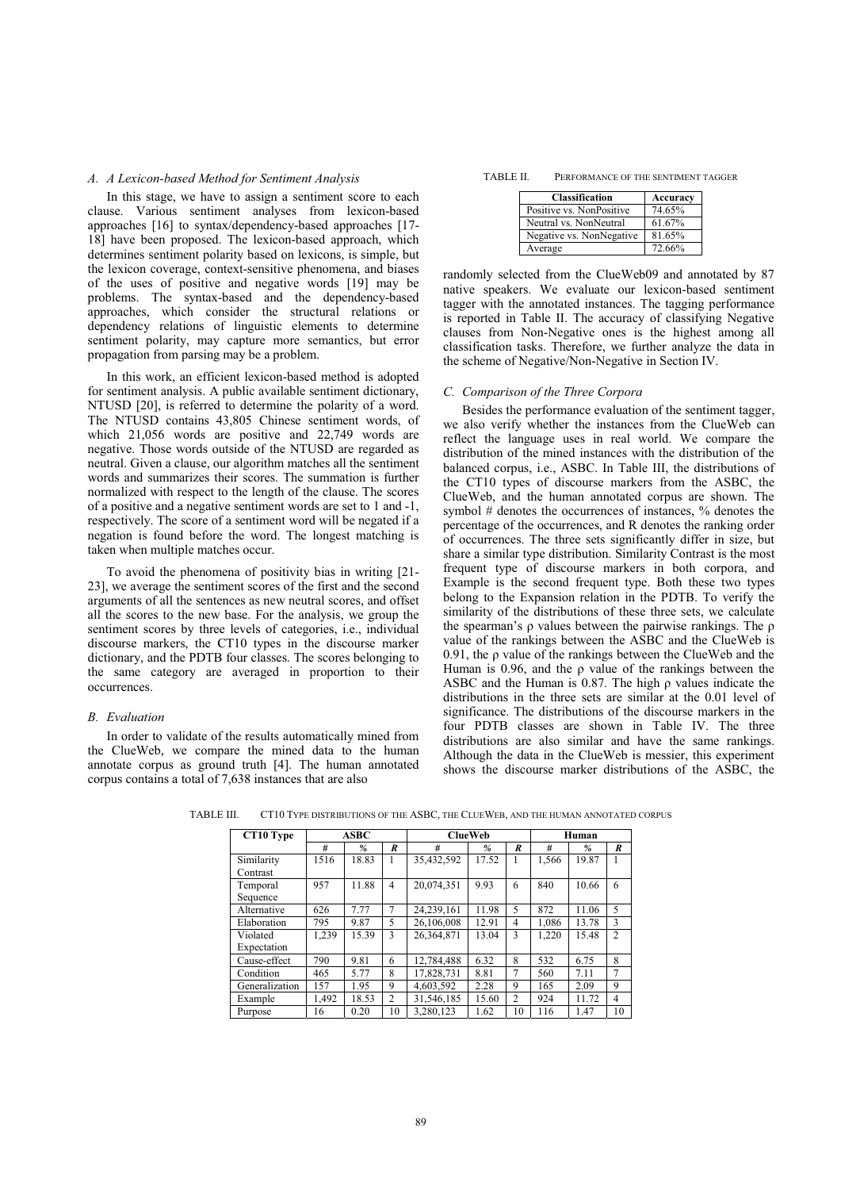#### *A. A Lexicon-based Method for Sentiment Analysis*

In this stage, we have to assign a sentiment score to each clause. Various sentiment analyses from lexicon-based approaches [16] to syntax/dependency-based approaches [17- 18] have been proposed. The lexicon-based approach, which determines sentiment polarity based on lexicons, is simple, but the lexicon coverage, context-sensitive phenomena, and biases of the uses of positive and negative words [19] may be problems. The syntax-based and the dependency-based approaches, which consider the structural relations or dependency relations of linguistic elements to determine sentiment polarity, may capture more semantics, but error propagation from parsing may be a problem.

In this work, an efficient lexicon-based method is adopted for sentiment analysis. A public available sentiment dictionary, NTUSD [20], is referred to determine the polarity of a word. The NTUSD contains 43,805 Chinese sentiment words, of which 21,056 words are positive and 22,749 words are negative. Those words outside of the NTUSD are regarded as neutral. Given a clause, our algorithm matches all the sentiment words and summarizes their scores. The summation is further normalized with respect to the length of the clause. The scores of a positive and a negative sentiment words are set to 1 and -1, respectively. The score of a sentiment word will be negated if a negation is found before the word. The longest matching is taken when multiple matches occur.

To avoid the phenomena of positivity bias in writing [21- 23], we average the sentiment scores of the first and the second arguments of all the sentences as new neutral scores, and offset all the scores to the new base. For the analysis, we group the sentiment scores by three levels of categories, i.e., individual discourse markers, the CT10 types in the discourse marker dictionary, and the PDTB four classes. The scores belonging to the same category are averaged in proportion to their occurrences.

## *B. Evaluation*

In order to validate of the results automatically mined from the ClueWeb, we compare the mined data to the human annotate corpus as ground truth [4]. The human annotated corpus contains a total of 7,638 instances that are also

| Classification           | Accuracy |
|--------------------------|----------|
| Positive vs. NonPositive | 74.65%   |
| Neutral vs. NonNeutral   | 61.67%   |
| Negative vs. NonNegative | 81.65%   |
| Average                  | 72.66%   |

randomly selected from the ClueWeb09 and annotated by 87 native speakers. We evaluate our lexicon-based sentiment tagger with the annotated instances. The tagging performance is reported in Table II. The accuracy of classifying Negative clauses from Non-Negative ones is the highest among all classification tasks. Therefore, we further analyze the data in the scheme of Negative/Non-Negative in Section IV.

### *C. Comparison of the Three Corpora*

Besides the performance evaluation of the sentiment tagger, we also verify whether the instances from the ClueWeb can reflect the language uses in real world. We compare the distribution of the mined instances with the distribution of the balanced corpus, i.e., ASBC. In Table III, the distributions of the CT10 types of discourse markers from the ASBC, the ClueWeb, and the human annotated corpus are shown. The symbol # denotes the occurrences of instances, % denotes the percentage of the occurrences, and R denotes the ranking order of occurrences. The three sets significantly differ in size, but share a similar type distribution. Similarity Contrast is the most frequent type of discourse markers in both corpora, and Example is the second frequent type. Both these two types belong to the Expansion relation in the PDTB. To verify the similarity of the distributions of these three sets, we calculate the spearman's  $\rho$  values between the pairwise rankings. The  $\rho$ value of the rankings between the ASBC and the ClueWeb is  $0.91$ , the  $\rho$  value of the rankings between the ClueWeb and the Human is 0.96, and the  $\rho$  value of the rankings between the ASBC and the Human is 0.87. The high  $\rho$  values indicate the distributions in the three sets are similar at the 0.01 level of significance. The distributions of the discourse markers in the four PDTB classes are shown in Table IV. The three distributions are also similar and have the same rankings. Although the data in the ClueWeb is messier, this experiment shows the discourse marker distributions of the ASBC, the

| CT10 Type      | <b>ASBC</b> |       |                  | <b>ClueWeb</b> | Human |                  |       |               |              |
|----------------|-------------|-------|------------------|----------------|-------|------------------|-------|---------------|--------------|
|                | #           | $\%$  | $\boldsymbol{R}$ | #              | %     | $\boldsymbol{R}$ | #     | $\frac{9}{6}$ | R            |
| Similarity     | 1516        | 18.83 |                  | 35,432,592     | 17.52 |                  | 1.566 | 19.87         |              |
| Contrast       |             |       |                  |                |       |                  |       |               |              |
| Temporal       | 957         | 11.88 | 4                | 20.074.351     | 9.93  | 6                | 840   | 10.66         | 6            |
| Sequence       |             |       |                  |                |       |                  |       |               |              |
| Alternative    | 626         | 7.77  |                  | 24.239.161     | 11.98 | 5                | 872   | 11.06         | 5            |
| Elaboration    | 795         | 9.87  | 5                | 26,106,008     | 12.91 | 4                | 1.086 | 13.78         | $\mathbf{3}$ |
| Violated       | 1.239       | 15.39 | 3                | 26.364.871     | 13.04 | 3                | 1.220 | 15.48         | 2            |
| Expectation    |             |       |                  |                |       |                  |       |               |              |
| Cause-effect   | 790         | 9.81  | 6                | 12.784.488     | 6.32  | 8                | 532   | 6.75          | 8            |
| Condition      | 465         | 5.77  | 8                | 17.828.731     | 8.81  | 7                | 560   | 7.11          | $\tau$       |
| Generalization | 157         | 1.95  | 9                | 4,603,592      | 2.28  | 9                | 165   | 2.09          | 9            |
| Example        | 1.492       | 18.53 | $\overline{2}$   | 31,546,185     | 15.60 | 2                | 924   | 11.72         | 4            |
| Purpose        | 16          | 0.20  | 10               | 3.280.123      | 1.62  | 10               | 116   | 1.47          | 10           |

TABLE III. CT10 TYPE DISTRIBUTIONS OF THE ASBC, THE CLUEWEB, AND THE HUMAN ANNOTATED CORPUS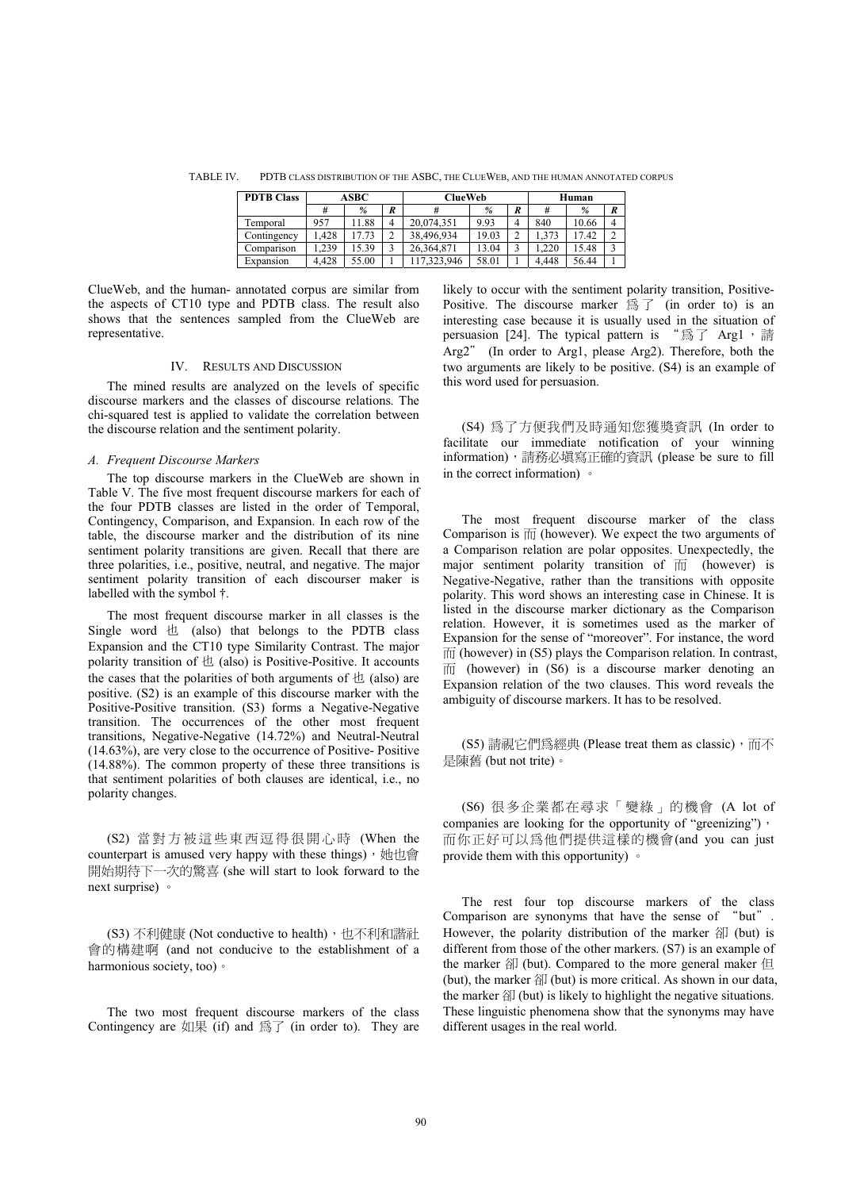TABLE IV. PDTB CLASS DISTRIBUTION OF THE ASBC, THE CLUEWEB, AND THE HUMAN ANNOTATED CORPUS

| <b>PDTB Class</b> | ASBC  |       |                  | <b>ClueWeb</b> | Human |                  |       |       |               |
|-------------------|-------|-------|------------------|----------------|-------|------------------|-------|-------|---------------|
|                   |       | %     | $\boldsymbol{R}$ |                | %     | $\boldsymbol{R}$ |       | %     | R             |
| Temporal          | 957   | 1.88  | 4                | 20.074.351     | 9.93  | 4                | 840   | 10.66 | 4             |
| Contingency       | .428  | 17.73 |                  | 38.496.934     | 19.03 |                  | .373  | 17.42 | $\mathcal{L}$ |
| Comparison        | .239  | 5.39  |                  | 26.364.871     | 13.04 |                  | .220  | 15.48 | 3             |
| Expansion         | 4.428 | 55.00 |                  | 17.323.946     | 58.01 |                  | 4.448 | 56.44 |               |

ClueWeb, and the human- annotated corpus are similar from the aspects of CT10 type and PDTB class. The result also shows that the sentences sampled from the ClueWeb are representative.

#### IV. RESULTS AND DISCUSSION

The mined results are analyzed on the levels of specific discourse markers and the classes of discourse relations. The chi-squared test is applied to validate the correlation between the discourse relation and the sentiment polarity.

## *A. Frequent Discourse Markers*

The top discourse markers in the ClueWeb are shown in Table V. The five most frequent discourse markers for each of the four PDTB classes are listed in the order of Temporal, Contingency, Comparison, and Expansion. In each row of the table, the discourse marker and the distribution of its nine sentiment polarity transitions are given. Recall that there are three polarities, i.e., positive, neutral, and negative. The major sentiment polarity transition of each discourser maker is labelled with the symbol †.

The most frequent discourse marker in all classes is the Single word  $\pm$  (also) that belongs to the PDTB class Expansion and the CT10 type Similarity Contrast. The major polarity transition of  $\pm$  (also) is Positive-Positive. It accounts the cases that the polarities of both arguments of  $\pm$  (also) are positive. (S2) is an example of this discourse marker with the Positive-Positive transition. (S3) forms a Negative-Negative transition. The occurrences of the other most frequent transitions, Negative-Negative (14.72%) and Neutral-Neutral (14.63%), are very close to the occurrence of Positive- Positive (14.88%). The common property of these three transitions is that sentiment polarities of both clauses are identical, i.e., no polarity changes.

(S2) 當對方被這些東西逗得很開心時 (When the counterpart is amused very happy with these things),  $\theta$ 開始期待下一次的驚喜 (she will start to look forward to the next surprise) •

(S3) 不利健康 (Not conductive to health), 也不利和諧社 會的構建啊 (and not conducive to the establishment of a harmonious society, too) ·

The two most frequent discourse markers of the class Contingency are  $\text{Im}(\mathbb{R})$  and  $\text{Im}(\mathbb{R})$  (in order to). They are likely to occur with the sentiment polarity transition, Positive-Positive. The discourse marker  $\mathbb{R}$   $\top$  (in order to) is an interesting case because it is usually used in the situation of persuasion [24]. The typical pattern is " $\circledR$  Arg1,  $\circledR$ Arg2" (In order to Arg1, please Arg2). Therefore, both the two arguments are likely to be positive. (S4) is an example of this word used for persuasion.

(S4) 為了方便我們及時通知您獲獎資訊 (In order to facilitate our immediate notification of your winning information), 請務必填寫正確的資訊 (please be sure to fill in the correct information)  $\circ$ 

The most frequent discourse marker of the class Comparison is  $\overline{m}$  (however). We expect the two arguments of a Comparison relation are polar opposites. Unexpectedly, the major sentiment polarity transition of  $\overline{m}$  (however) is Negative-Negative, rather than the transitions with opposite polarity. This word shows an interesting case in Chinese. It is listed in the discourse marker dictionary as the Comparison relation. However, it is sometimes used as the marker of Expansion for the sense of "moreover". For instance, the word  $\overline{m}$  (however) in (S5) plays the Comparison relation. In contrast,  $\overline{m}$  (however) in (S6) is a discourse marker denoting an Expansion relation of the two clauses. This word reveals the ambiguity of discourse markers. It has to be resolved.

(S5) 請視它們爲經典 (Please treat them as classic), 而不 是陳舊 (but not trite)。

(S6) 很多企業都在尋求「變綠」的機會 (A lot of companies are looking for the opportunity of "greenizing")  $\cdot$ 而你正好可以爲他們提供這樣的機會(and you can just provide them with this opportunity)  $\circ$ 

The rest four top discourse markers of the class Comparison are synonyms that have the sense of "but". However, the polarity distribution of the marker  $\hat{A}$  (but) is different from those of the other markers. (S7) is an example of the marker  $\hat{A}$  (but). Compared to the more general maker  $\hat{A}$ (but), the marker  $\hat{\mathbb{A}}$  (but) is more critical. As shown in our data, the marker  $\hat{A}$  (but) is likely to highlight the negative situations. These linguistic phenomena show that the synonyms may have different usages in the real world.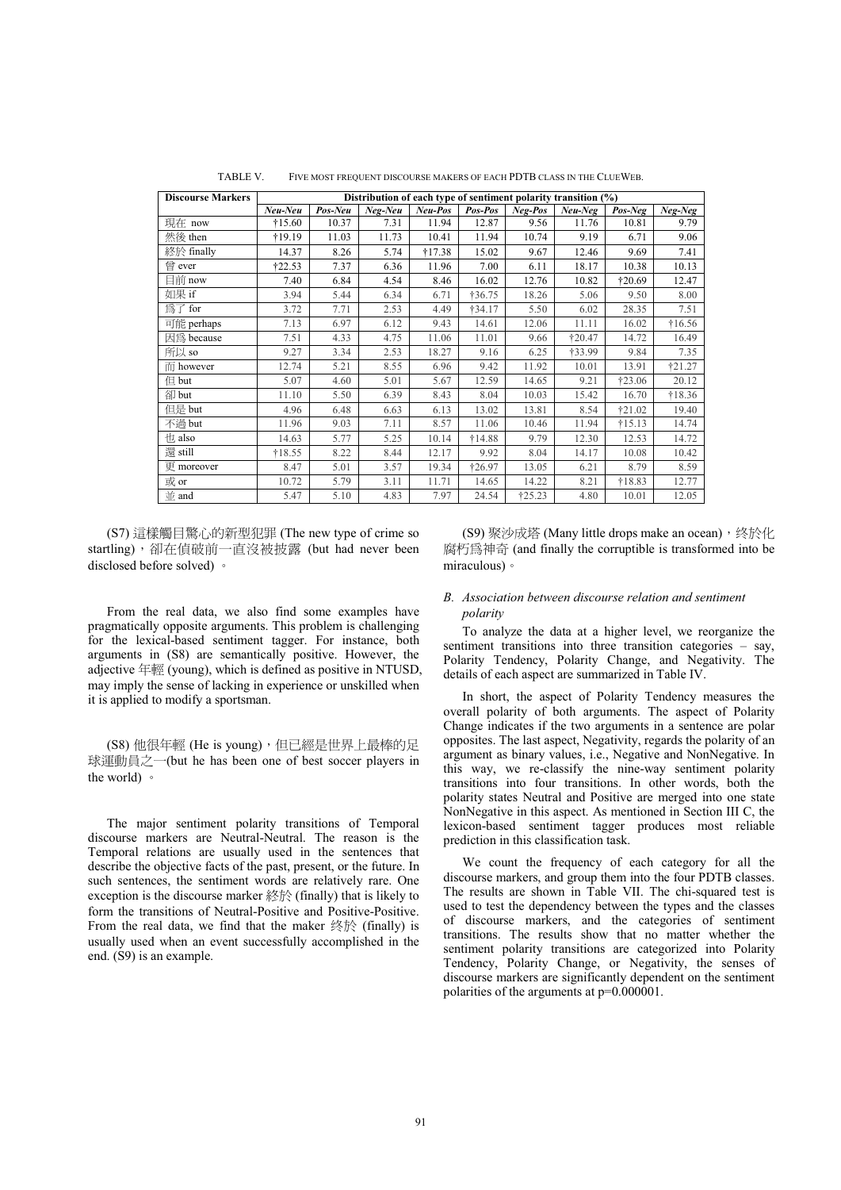| <b>Discourse Markers</b> | Distribution of each type of sentiment polarity transition (%) |         |         |          |                 |         |           |          |                 |
|--------------------------|----------------------------------------------------------------|---------|---------|----------|-----------------|---------|-----------|----------|-----------------|
|                          | Neu-Neu                                                        | Pos-Neu | Neg-Neu | Neu-Pos  | Pos-Pos         | Neg-Pos | $Neu-Neg$ | Pos-Neg  | Neg-Neg         |
| 現在 now                   | $\dagger 15.60$                                                | 10.37   | 7.31    | 11.94    | 12.87           | 9.56    | 11.76     | 10.81    | 9.79            |
| 然後 then                  | †19.19                                                         | 11.03   | 11.73   | 10.41    | 11.94           | 10.74   | 9.19      | 6.71     | 9.06            |
| 終於 finally               | 14.37                                                          | 8.26    | 5.74    | $+17.38$ | 15.02           | 9.67    | 12.46     | 9.69     | 7.41            |
| 曾 ever                   | †22.53                                                         | 7.37    | 6.36    | 11.96    | 7.00            | 6.11    | 18.17     | 10.38    | 10.13           |
| 目前 now                   | 7.40                                                           | 6.84    | 4.54    | 8.46     | 16.02           | 12.76   | 10.82     | +20.69   | 12.47           |
| 如果 if                    | 3.94                                                           | 5.44    | 6.34    | 6.71     | +36.75          | 18.26   | 5.06      | 9.50     | 8.00            |
| 為了 for                   | 3.72                                                           | 7.71    | 2.53    | 4.49     | †34.17          | 5.50    | 6.02      | 28.35    | 7.51            |
| 可能 perhaps               | 7.13                                                           | 6.97    | 6.12    | 9.43     | 14.61           | 12.06   | 11.11     | 16.02    | $\dagger 16.56$ |
| 因為 because               | 7.51                                                           | 4.33    | 4.75    | 11.06    | 11.01           | 9.66    | †20.47    | 14.72    | 16.49           |
| 所以 so                    | 9.27                                                           | 3.34    | 2.53    | 18.27    | 9.16            | 6.25    | +33.99    | 9.84     | 7.35            |
| 而 however                | 12.74                                                          | 5.21    | 8.55    | 6.96     | 9.42            | 11.92   | 10.01     | 13.91    | †21.27          |
| 但 but                    | 5.07                                                           | 4.60    | 5.01    | 5.67     | 12.59           | 14.65   | 9.21      | †23.06   | 20.12           |
| 卻 but                    | 11.10                                                          | 5.50    | 6.39    | 8.43     | 8.04            | 10.03   | 15.42     | 16.70    | $\dagger 18.36$ |
| 但是 but                   | 4.96                                                           | 6.48    | 6.63    | 6.13     | 13.02           | 13.81   | 8.54      | †21.02   | 19.40           |
| 不過 but                   | 11.96                                                          | 9.03    | 7.11    | 8.57     | 11.06           | 10.46   | 11.94     | $+15.13$ | 14.74           |
| 也 also                   | 14.63                                                          | 5.77    | 5.25    | 10.14    | $\dagger$ 14.88 | 9.79    | 12.30     | 12.53    | 14.72           |
| 還 still                  | $+18.55$                                                       | 8.22    | 8.44    | 12.17    | 9.92            | 8.04    | 14.17     | 10.08    | 10.42           |
| 更 moreover               | 8.47                                                           | 5.01    | 3.57    | 19.34    | †26.97          | 13.05   | 6.21      | 8.79     | 8.59            |
| 或 or                     | 10.72                                                          | 5.79    | 3.11    | 11.71    | 14.65           | 14.22   | 8.21      | +18.83   | 12.77           |
| 並 and                    | 5.47                                                           | 5.10    | 4.83    | 7.97     | 24.54           | †25.23  | 4.80      | 10.01    | 12.05           |

TABLE V. FIVE MOST FREQUENT DISCOURSE MAKERS OF EACH PDTB CLASS IN THE CLUEWEB.

(S7) 這樣觸目驚心的新型犯罪 (The new type of crime so startling), 卻在偵破前一直沒被披露 (but had never been disclosed before solved) <sup>o</sup>

From the real data, we also find some examples have pragmatically opposite arguments. This problem is challenging for the lexical-based sentiment tagger. For instance, both arguments in (S8) are semantically positive. However, the adjective  $\#$  $\mathbb{R}$  (young), which is defined as positive in NTUSD, may imply the sense of lacking in experience or unskilled when it is applied to modify a sportsman.

(S8) 他很年輕 (He is young), 但已經是世界上最棒的足 球運動員之一(but he has been one of best soccer players in the world $)$ 

The major sentiment polarity transitions of Temporal discourse markers are Neutral-Neutral. The reason is the Temporal relations are usually used in the sentences that describe the objective facts of the past, present, or the future. In such sentences, the sentiment words are relatively rare. One exception is the discourse marker 終於 (finally) that is likely to form the transitions of Neutral-Positive and Positive-Positive. From the real data, we find that the maker  $\frac{1}{2}$  (finally) is usually used when an event successfully accomplished in the end. (S9) is an example.

(S9) 聚沙成塔 (Many little drops make an ocean), 终於化 腐朽爲神奇 (and finally the corruptible is transformed into be miraculous) ·

## *B. Association between discourse relation and sentiment polarity*

To analyze the data at a higher level, we reorganize the sentiment transitions into three transition categories – say, Polarity Tendency, Polarity Change, and Negativity. The details of each aspect are summarized in Table IV.

In short, the aspect of Polarity Tendency measures the overall polarity of both arguments. The aspect of Polarity Change indicates if the two arguments in a sentence are polar opposites. The last aspect, Negativity, regards the polarity of an argument as binary values, i.e., Negative and NonNegative. In this way, we re-classify the nine-way sentiment polarity transitions into four transitions. In other words, both the polarity states Neutral and Positive are merged into one state NonNegative in this aspect. As mentioned in Section III C, the lexicon-based sentiment tagger produces most reliable prediction in this classification task.

We count the frequency of each category for all the discourse markers, and group them into the four PDTB classes. The results are shown in Table VII. The chi-squared test is used to test the dependency between the types and the classes of discourse markers, and the categories of sentiment transitions. The results show that no matter whether the sentiment polarity transitions are categorized into Polarity Tendency, Polarity Change, or Negativity, the senses of discourse markers are significantly dependent on the sentiment polarities of the arguments at p=0.000001.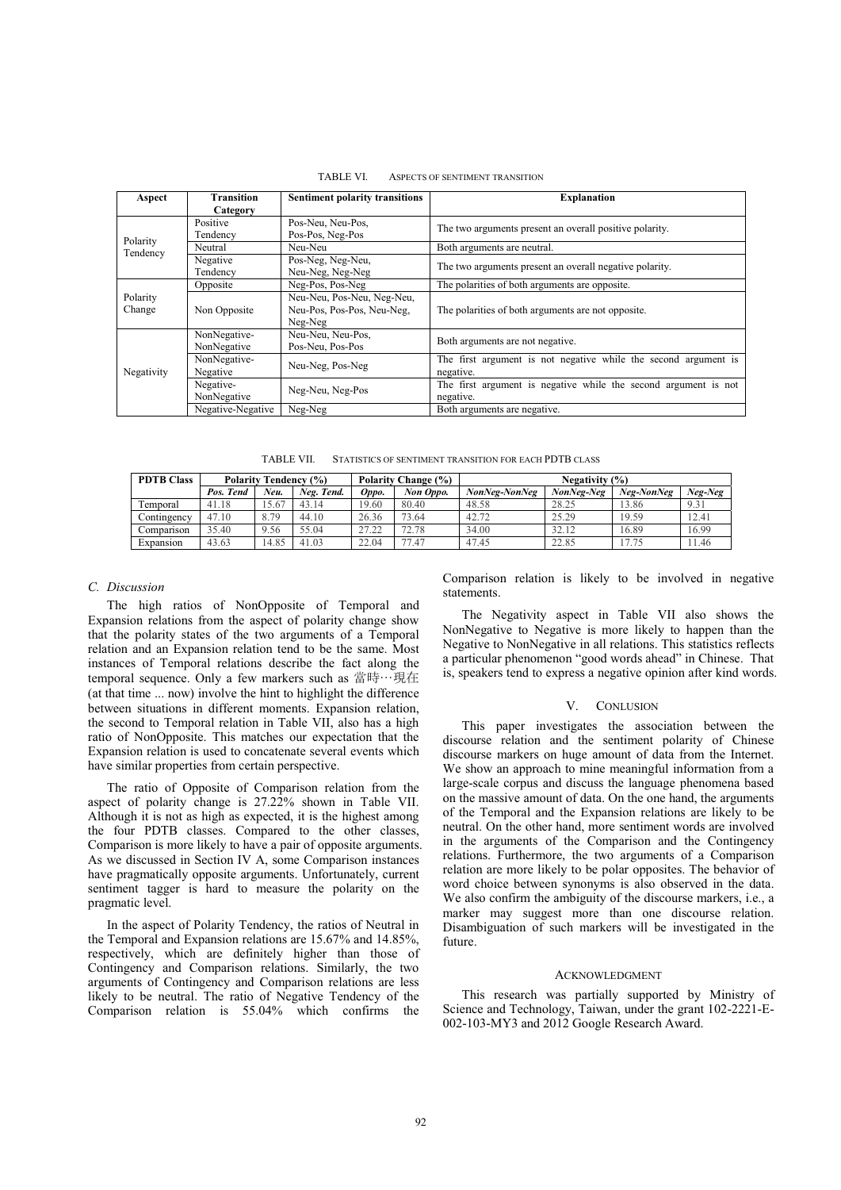| Aspect             | <b>Transition</b><br>Category                                                       | <b>Sentiment polarity transitions</b> | <b>Explanation</b>                                                           |  |  |  |  |
|--------------------|-------------------------------------------------------------------------------------|---------------------------------------|------------------------------------------------------------------------------|--|--|--|--|
| Polarity           | Positive<br>Tendencv                                                                | Pos-Neu, Neu-Pos,<br>Pos-Pos, Neg-Pos | The two arguments present an overall positive polarity.                      |  |  |  |  |
|                    | Neutral                                                                             | Neu-Neu                               | Both arguments are neutral.                                                  |  |  |  |  |
| Tendency           | Negative<br>Tendency                                                                | Pos-Neg, Neg-Neu,<br>Neu-Neg, Neg-Neg | The two arguments present an overall negative polarity.                      |  |  |  |  |
|                    | Opposite                                                                            | Neg-Pos, Pos-Neg                      | The polarities of both arguments are opposite.                               |  |  |  |  |
| Polarity<br>Change | Neu-Neu, Pos-Neu, Neg-Neu,<br>Neu-Pos, Pos-Pos, Neu-Neg,<br>Non Opposite<br>Neg-Neg |                                       | The polarities of both arguments are not opposite.                           |  |  |  |  |
|                    | NonNegative-<br>NonNegative                                                         | Neu-Neu, Neu-Pos,<br>Pos-Neu, Pos-Pos | Both arguments are not negative.                                             |  |  |  |  |
| Negativity         | NonNegative-<br>Negative                                                            | Neu-Neg, Pos-Neg                      | The first argument is not negative while the second argument is<br>negative. |  |  |  |  |
|                    | Negative-<br>NonNegative                                                            | Neg-Neu, Neg-Pos                      | The first argument is negative while the second argument is not<br>negative. |  |  |  |  |
|                    | Negative-Negative                                                                   | Neg-Neg                               | Both arguments are negative.                                                 |  |  |  |  |

TABLE VI. ASPECTS OF SENTIMENT TRANSITION

TABLE VII. STATISTICS OF SENTIMENT TRANSITION FOR EACH PDTB CLASS

| <b>PDTB Class</b> | <b>Polarity Tendency (%)</b> |       |            | Polarity Change (%) |           | Negativity $(\%)$ |            |         |       |
|-------------------|------------------------------|-------|------------|---------------------|-----------|-------------------|------------|---------|-------|
|                   | Pos. Tend                    | Neu.  | Neg. Tend. | Oppo.               | Non Oppo. | NonNeg-NonNeg     | Neg-NonNeg | Neg-Neg |       |
| Temporal          | 41.18                        | 15.67 | 43.14      | 19.60               | 80.40     | 48.58             | 28.25      | 13.86   | 9.31  |
| Contingency       | 47.10                        | 8.79  | 44.10      | 26.36               | 73.64     | 42.72             | 25.29      | 19.59   | 12.41 |
| Comparison        | 35.40                        | 9.56  | 55.04      | 27.22               | 72.78     | 34.00             | 32.12      | 16.89   | 16.99 |
| Expansion         | 43.63                        | 14.85 | 41.03      | 22.04               | 77<br>.47 | 47.45             | 22.85      | 17.75   | 11.46 |

## *C. Discussion*

The high ratios of NonOpposite of Temporal and Expansion relations from the aspect of polarity change show that the polarity states of the two arguments of a Temporal relation and an Expansion relation tend to be the same. Most instances of Temporal relations describe the fact along the temporal sequence. Only a few markers such as 當時…現在 (at that time ... now) involve the hint to highlight the difference between situations in different moments. Expansion relation, the second to Temporal relation in Table VII, also has a high ratio of NonOpposite. This matches our expectation that the Expansion relation is used to concatenate several events which have similar properties from certain perspective.

The ratio of Opposite of Comparison relation from the aspect of polarity change is 27.22% shown in Table VII. Although it is not as high as expected, it is the highest among the four PDTB classes. Compared to the other classes, Comparison is more likely to have a pair of opposite arguments. As we discussed in Section IV A, some Comparison instances have pragmatically opposite arguments. Unfortunately, current sentiment tagger is hard to measure the polarity on the pragmatic level.

In the aspect of Polarity Tendency, the ratios of Neutral in the Temporal and Expansion relations are 15.67% and 14.85%, respectively, which are definitely higher than those of Contingency and Comparison relations. Similarly, the two arguments of Contingency and Comparison relations are less likely to be neutral. The ratio of Negative Tendency of the Comparison relation is 55.04% which confirms the Comparison relation is likely to be involved in negative statements.

The Negativity aspect in Table VII also shows the NonNegative to Negative is more likely to happen than the Negative to NonNegative in all relations. This statistics reflects a particular phenomenon "good words ahead" in Chinese. That is, speakers tend to express a negative opinion after kind words.

#### V. CONLUSION

This paper investigates the association between the discourse relation and the sentiment polarity of Chinese discourse markers on huge amount of data from the Internet. We show an approach to mine meaningful information from a large-scale corpus and discuss the language phenomena based on the massive amount of data. On the one hand, the arguments of the Temporal and the Expansion relations are likely to be neutral. On the other hand, more sentiment words are involved in the arguments of the Comparison and the Contingency relations. Furthermore, the two arguments of a Comparison relation are more likely to be polar opposites. The behavior of word choice between synonyms is also observed in the data. We also confirm the ambiguity of the discourse markers, i.e., a marker may suggest more than one discourse relation. Disambiguation of such markers will be investigated in the future.

#### ACKNOWLEDGMENT

This research was partially supported by Ministry of Science and Technology, Taiwan, under the grant 102-2221-E-002-103-MY3 and 2012 Google Research Award.